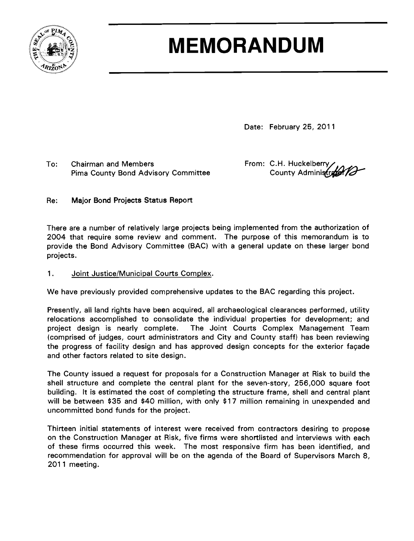

# **MEMORANDUM**

Date: February 25, 2011

To: Chairman and Members From: C.H. Huckelberry<br>Pima County Bond Advisory Committee County Administrate Pima County Bond Advisory Committee

## Re: Major Bond Projects Status Report

There are a number of relatively large projects being implemented from the authorization of 2004 that require some review and comment. The purpose of this memorandum is to provide the Bond Advisory Committee (BAC) with a general update on these larger bond projects.

## 1. Joint Justice/Municipal Courts Complex.

We have previously provided comprehensive updates to the BAC regarding this project.

Presently, all land rights have been acquired, all archaeological clearances performed, utility relocations accomplished to consolidate the individual properties for development; and project design is nearly complete. The Joint Courts Complex Management Team (comprised of judges, court administrators and City and County staff) has been reviewing the progress of facility design and has approved design concepts for the exterior façade and other factors related to site design.

The County issued a request for proposals for a Construction Manager at Risk to build the shell structure and complete the central plant for the seven-story, 256,000 square foot building. It is estimated the cost of completing the structure frame, shell and central plant will be between \$35 and \$40 million, with only \$17 million remaining in unexpended and uncommitted bond funds for the project.

Thirteen initial statements of interest were received from contractors desiring to propose on the Construction Manager at Risk, five firms were shortlisted and interviews with each of these firms occurred this week. The most responsive firm has been identified, and recommendation for approval will be on the agenda of the Board of Supervisors March 8, 2011 meeting.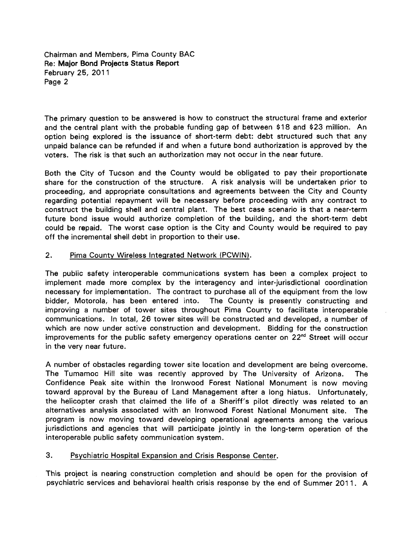Chairman and Members, Pima County BAC Re: Major Bond Projects Status Report February 25, 2011 Page 2

The primary question to be answered is how to construct the structural frame and exterior and the central plant with the probable funding gap of between \$18 and \$23 million. An option being explored is the issuance of short-term debt: debt structured such that any unpaid balance can be refunded if and when a future bond authorization is approved by the voters. The risk is that such an authorization may not occur in the near future.

Both the City of Tucson and the County would be obligated to pay their proportionate share for the construction of the structure. A risk analysis will be undertaken prior to proceeding, and appropriate consultations and agreements between the City and County regarding potential repayment will be necessary before proceeding with any contract to construct the building shell and central plant. The best case scenario is that a near-term future bond issue would authorize completion of the building, and the short-term debt could be repaid. The worst case option is the City and County would be required to pay off the incremental shell debt in proportion to their use.

#### 2. Pima County Wireless Integrated Network (PCWIN).

The public safety interoperable communications system has been a complex project to implement made more complex by the interagency and inter-jurisdictional coordination necessary for implementation. The contract to purchase all of the equipment from the low bidder, Motorola, has been entered into. The County is presently constructing and improving a number of tower sites throughout Pima County to facilitate interoperable communications. In total, 26 tower sites will be constructed and developed, a number of which are now under active construction and development. Bidding for the construction improvements for the public safety emergency operations center on  $22<sup>nd</sup>$  Street will occur in the very near future.

A number of obstacles regarding tower site location and development are being overcome. The Tumamoc Hill site was recently approved by The University of Arizona. The Confidence Peak site within the Ironwood Forest National Monument is now moving toward approval by the Bureau of Land Management after a long hiatus. Unfortunately, the helicopter crash that claimed the life of a Sheriff's pilot directly was related to an alternatives analysis associated with an Ironwood Forest National Monument site. The program is now moving toward developing operational agreements among the various jurisdictions and agencies that will participate jointly in the long-term operation of the interoperable public safety communication system.

### 3. Psychiatric Hospital Expansion and Crisis Response Center.

This project is nearing construction completion and should be open for the provision of psychiatric services and behavioral health crisis response by the end of Summer 2011. A